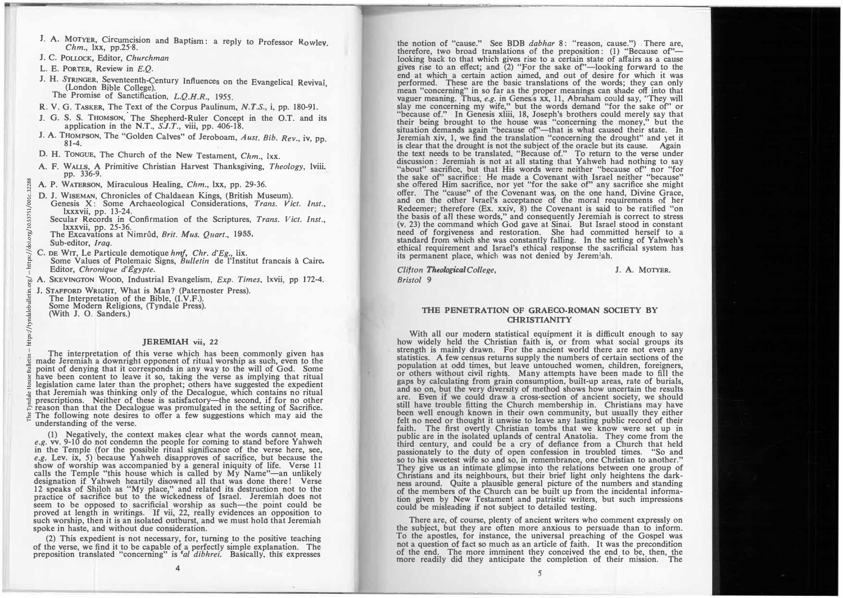- **J. A. MOTYER, Circumcision and Baptism: a reply to Professor Rowlev.** *Chm.,* **lxx, pp.25-8.**
- **J. C. POLLOCK, Editor,** *Churchman*
- L. **E. PORTER, Review in** *E.Q.*
- **J. H. STRINGER, Seventeenth-Century Influences on the Evangelical Revival, (London Bible College).** 
	- **The Promise of Sanctification,** *L.Q.H.R.,* **1955.**
- **R. V. G. TASKER, The Text of the Corpus Paulinum,** *N.T.S.,* **i, pp. 180-91. .**
- **J. G. S. S. THOMSON, The Shepherd-Ruler Concept in the O.T. and its application in the N.T.,** *S.J.T.,* **viii, pp. 406-18.**
- **J. A. THOMPSON, The "Golden Calves" of Jeroboam,** *Aust. Bib. Rev.***, iv, pp. 81-4.**
- **D. H. TONGUE, The Church of the New Testament,** *Chm.,* **lxx.**
- **A. F. WALLS, A Primitive Christian Harvest Thanksgiving,** *Theology,* **lviii, pp. 336-9.**
- **A. P. WATERSON, Miraculous Healing,** *Chm.,* **lxx, pp. 29-36.**
- **D. J. WISEMAN, Chronicles of Chaldaean Kings, (British Museum).**
	- Genesis X: Some Archaeological Considerations, Trans. Vict. Inst., Ixxxvii, pp. 13-24.<br>Secular Records in Confirmation of the Scriptures, Trans. Vict. Inst., Ixxxvii, pp. 25-36.<br>Jkxxvii, pp. 25-36.<br>The Excavations at Nimrû
- **C. DE WIT, Le Particule demotique** *hmf, Chr. d'Eg.,* **lix.**
	- **Some Values of Ptolemaic Signs,** *Bulletin* **de l'Institut francais a Caire. Editor,** *Chronique d'Egypte.*
- **A. SKEVINGTON WOOD, Industrial Evangelism,** *Exp. Times,* **lxvii, pp 172-4.**
- **J. STAFFORD WRIGHT, What is Man? (Paternoster Press). The Interpretation of the Bible, (I.V.F.). Some Modem Religions, (Tyndale Press). (With J. 0. Sanders.)**

## **JEREMIAH vii, 22**

**The interpretation of this verse which has been commonly given has made Jeremiah a downright opponent of ritual worship as such, even to the**  moint of denying that it corresponds in any way to the will of God. Some<br>have been content to leave it so, taking the verse as implying that ritual<br>legislation came later than the prophet; others have suggested the expedie

**(1) Negatjvely, the context makes clear what the words cannot mean,** *e.g.* **vv. 9-10 do not condemn the people for coming to stand before Yahweh in the Temple (for the possible ritual significance of the verse here, see,**  *e.g.* **Lev. ix, 5) because Yahweh disapproves of sacrifice, but because the** show of worship was accompanied by a general iniquity of life. Verse 11<br>calls the Temple "this house which is called by My Name"—an unlikely<br>designation if Yahweh heartily disowned all that was done there! Verse **12 speaks of Shiloh as "My place," and related its destruction not to the**<br>practice of sacrifice but to the wickedness of Israel. Jeremiah does not seem to be opposed to sacrificial worship as such-the point could be proved at length in writings. If vii, 22, really evidences an opposition to such worship, then it is an isolated outburst, and we must hold that Jeremiah spoke in haste, and without due consideration.

**(2) This expedient is not necessary, for, turning \_to the positive\_ teaching** of the verse, we find it to be capable of a perfectly simple explanation. The **preposition translated "concerning" is 'al dibhrei.** Basically, this expresses